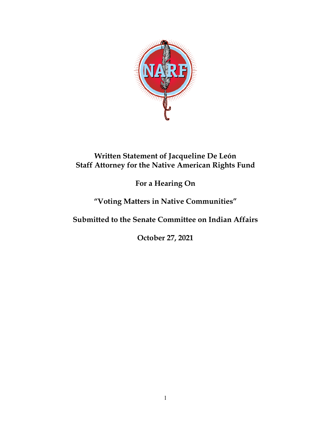

## **Written Statement of Jacqueline De León Staff Attorney for the Native American Rights Fund**

## **For a Hearing On**

# **"Voting Matters in Native Communities"**

**Submitted to the Senate Committee on Indian Affairs**

**October 27, 2021**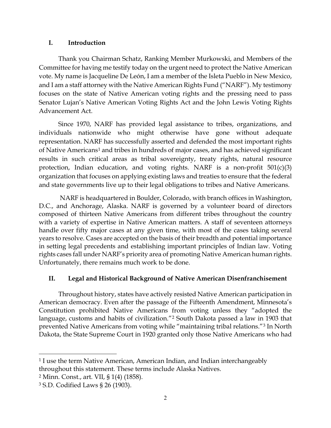## **I. Introduction**

Thank you Chairman Schatz, Ranking Member Murkowski, and Members of the Committee for having me testify today on the urgent need to protect the Native American vote. My name is Jacqueline De León, I am a member of the Isleta Pueblo in New Mexico, and I am a staff attorney with the Native American Rights Fund ("NARF"). My testimony focuses on the state of Native American voting rights and the pressing need to pass Senator Lujan's Native American Voting Rights Act and the John Lewis Voting Rights Advancement Act.

Since 1970, NARF has provided legal assistance to tribes, organizations, and individuals nationwide who might otherwise have gone without adequate representation. NARF has successfully asserted and defended the most important rights of Native Americans<sup>[1](#page-1-0)</sup> and tribes in hundreds of major cases, and has achieved significant results in such critical areas as tribal sovereignty, treaty rights, natural resource protection, Indian education, and voting rights. NARF is a non-profit 501(c)(3) organization that focuses on applying existing laws and treaties to ensure that the federal and state governments live up to their legal obligations to tribes and Native Americans.

NARF is headquartered in Boulder, Colorado, with branch offices in Washington, D.C., and Anchorage, Alaska. NARF is governed by a volunteer board of directors composed of thirteen Native Americans from different tribes throughout the country with a variety of expertise in Native American matters. A staff of seventeen attorneys handle over fifty major cases at any given time, with most of the cases taking several years to resolve. Cases are accepted on the basis of their breadth and potential importance in setting legal precedents and establishing important principles of Indian law. Voting rights cases fall under NARF's priority area of promoting Native American human rights. Unfortunately, there remains much work to be done.

## **II. Legal and Historical Background of Native American Disenfranchisement**

Throughout history, states have actively resisted Native American participation in American democracy. Even after the passage of the Fifteenth Amendment, Minnesota's Constitution prohibited Native Americans from voting unless they "adopted the language, customs and habits of civilization."<sup>[2](#page-1-1)</sup> South Dakota passed a law in 1903 that prevented Native Americans from voting while "maintaining tribal relations."[3](#page-1-2) In North Dakota, the State Supreme Court in 1920 granted only those Native Americans who had

 $\overline{a}$ 

<span id="page-1-0"></span><sup>&</sup>lt;sup>1</sup> I use the term Native American, American Indian, and Indian interchangeably throughout this statement. These terms include Alaska Natives.

<span id="page-1-1"></span><sup>2</sup> Minn. Const., art. VII, § 1(4) (1858).

<span id="page-1-2"></span><sup>3</sup> S.D. Codified Laws § 26 (1903).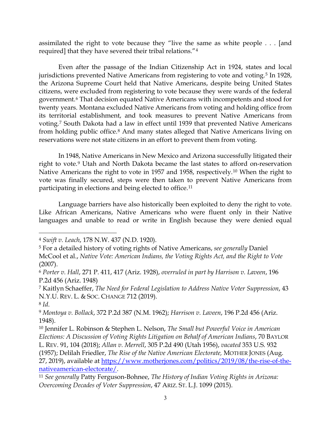assimilated the right to vote because they "live the same as white people . . . [and required] that they have severed their tribal relations."[4](#page-2-0)

Even after the passage of the Indian Citizenship Act in 1924, states and local jurisdictions prevented Native Americans from registering to vote and voting.<sup>[5](#page-2-1)</sup> In 1928, the Arizona Supreme Court held that Native Americans, despite being United States citizens, were excluded from registering to vote because they were wards of the federal government.[6](#page-2-2) That decision equated Native Americans with incompetents and stood for twenty years. Montana excluded Native Americans from voting and holding office from its territorial establishment, and took measures to prevent Native Americans from voting.[7](#page-2-3) South Dakota had a law in effect until 1939 that prevented Native Americans from holding public office.[8](#page-2-4) And many states alleged that Native Americans living on reservations were not state citizens in an effort to prevent them from voting.

In 1948, Native Americans in New Mexico and Arizona successfully litigated their right to vote.<sup>[9](#page-2-5)</sup> Utah and North Dakota became the last states to afford on-reservation Native Americans the right to vote in 1957 and 1958, respectively.[10](#page-2-6) When the right to vote was finally secured, steps were then taken to prevent Native Americans from participating in elections and being elected to office.[11](#page-2-7)

Language barriers have also historically been exploited to deny the right to vote. Like African Americans, Native Americans who were fluent only in their Native languages and unable to read or write in English because they were denied equal

 $\overline{\phantom{a}}$ 

27, 2019), available at [https://www.motherjones.com/politics/2019/08/the-rise-of-the](https://www.motherjones.com/politics/2019/08/the-rise-of-the-nativeamerican-electorate/)[nativeamerican-electorate/.](https://www.motherjones.com/politics/2019/08/the-rise-of-the-nativeamerican-electorate/) 11 *See generally* Patty Ferguson-Bohnee, *The History of Indian Voting Rights in Arizona:* 

<span id="page-2-0"></span><sup>4</sup> *Swift v. Leach*, 178 N.W. 437 (N.D. 1920).

<span id="page-2-1"></span><sup>5</sup> For a detailed history of voting rights of Native Americans, *see generally* Daniel McCool et al., *Native Vote: American Indians, the Voting Rights Act, and the Right to Vote* (2007).

<span id="page-2-2"></span><sup>6</sup> *Porter v. Hall*, 271 P. 411, 417 (Ariz. 1928), *overruled in part by Harrison v. Laveen*, 196 P.2d 456 (Ariz. 1948)

<span id="page-2-3"></span><sup>7</sup> Kaitlyn Schaeffer, *The Need for Federal Legislation to Address Native Voter Suppression*, 43 N.Y.U. REV. L. & SOC. CHANGE 712 (2019).

<span id="page-2-5"></span><span id="page-2-4"></span><sup>8</sup> *Id*. 9 *Montoya v. Bollack*, 372 P.2d 387 (N.M. 1962); *Harrison v. Laveen*, 196 P.2d 456 (Ariz. 1948).

<span id="page-2-6"></span><sup>10</sup> Jennifer L. Robinson & Stephen L. Nelson, *The Small but Powerful Voice in American Elections: A Discussion of Voting Rights Litigation on Behalf of American Indians*, 70 BAYLOR L. REV. 91, 104 (2018); *Allan v. Merrell*, 305 P.2d 490 (Utah 1956), *vacated* 353 U.S. 932 (1957); Delilah Friedler, *The Rise of the Native American Electorate,* MOTHER JONES (Aug.

<span id="page-2-7"></span>*Overcoming Decades of Voter Suppression*, 47 ARIZ. ST. L.J. 1099 (2015).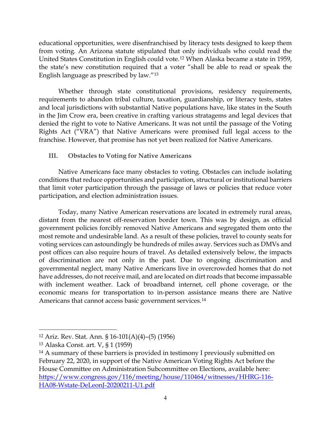educational opportunities, were disenfranchised by literacy tests designed to keep them from voting. An Arizona statute stipulated that only individuals who could read the United States Constitution in English could vote.[12](#page-3-0) When Alaska became a state in 1959, the state's new constitution required that a voter "shall be able to read or speak the English language as prescribed by law."[13](#page-3-1)

Whether through state constitutional provisions, residency requirements, requirements to abandon tribal culture, taxation, guardianship, or literacy tests, states and local jurisdictions with substantial Native populations have, like states in the South in the Jim Crow era, been creative in crafting various stratagems and legal devices that denied the right to vote to Native Americans. It was not until the passage of the Voting Rights Act ("VRA") that Native Americans were promised full legal access to the franchise. However, that promise has not yet been realized for Native Americans.

## **III. Obstacles to Voting for Native Americans**

Native Americans face many obstacles to voting. Obstacles can include isolating conditions that reduce opportunities and participation, structural or institutional barriers that limit voter participation through the passage of laws or policies that reduce voter participation, and election administration issues.

Today, many Native American reservations are located in extremely rural areas, distant from the nearest off-reservation border town. This was by design, as official government policies forcibly removed Native Americans and segregated them onto the most remote and undesirable land. As a result of these policies, travel to county seats for voting services can astoundingly be hundreds of miles away. Services such as DMVs and post offices can also require hours of travel. As detailed extensively below, the impacts of discrimination are not only in the past. Due to ongoing discrimination and governmental neglect, many Native Americans live in overcrowded homes that do not have addresses, do not receive mail, and are located on dirt roads that become impassable with inclement weather. Lack of broadband internet, cell phone coverage, or the economic means for transportation to in-person assistance means there are Native Americans that cannot access basic government services.<sup>[14](#page-3-2)</sup>

<span id="page-3-0"></span><sup>12</sup> Ariz. Rev. Stat. Ann. § 16-101(A)(4)–(5) (1956)

<span id="page-3-1"></span><sup>13</sup> Alaska Const. art. V, § 1 (1959)

<span id="page-3-2"></span><sup>&</sup>lt;sup>14</sup> A summary of these barriers is provided in testimony I previously submitted on February 22, 2020, in support of the Native American Voting Rights Act before the House Committee on Administration Subcommittee on Elections, available here: [https://www.congress.gov/116/meeting/house/110464/witnesses/HHRG-116-](https://www.congress.gov/116/meeting/house/110464/witnesses/HHRG-116-HA08-Wstate-DeLeonJ-20200211-U1.pdf) [HA08-Wstate-DeLeonJ-20200211-U1.pdf](https://www.congress.gov/116/meeting/house/110464/witnesses/HHRG-116-HA08-Wstate-DeLeonJ-20200211-U1.pdf)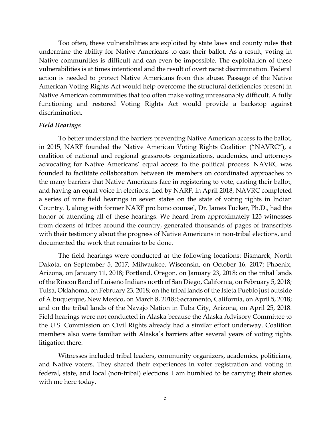Too often, these vulnerabilities are exploited by state laws and county rules that undermine the ability for Native Americans to cast their ballot. As a result, voting in Native communities is difficult and can even be impossible. The exploitation of these vulnerabilities is at times intentional and the result of overt racist discrimination. Federal action is needed to protect Native Americans from this abuse. Passage of the Native American Voting Rights Act would help overcome the structural deficiencies present in Native American communities that too often make voting unreasonably difficult. A fully functioning and restored Voting Rights Act would provide a backstop against discrimination.

#### *Field Hearings*

To better understand the barriers preventing Native American access to the ballot, in 2015, NARF founded the Native American Voting Rights Coalition ("NAVRC"), a coalition of national and regional grassroots organizations, academics, and attorneys advocating for Native Americans' equal access to the political process. NAVRC was founded to facilitate collaboration between its members on coordinated approaches to the many barriers that Native Americans face in registering to vote, casting their ballot, and having an equal voice in elections. Led by NARF, in April 2018, NAVRC completed a series of nine field hearings in seven states on the state of voting rights in Indian Country. I, along with former NARF pro bono counsel, Dr. James Tucker, Ph.D., had the honor of attending all of these hearings. We heard from approximately 125 witnesses from dozens of tribes around the country, generated thousands of pages of transcripts with their testimony about the progress of Native Americans in non-tribal elections, and documented the work that remains to be done.

The field hearings were conducted at the following locations: Bismarck, North Dakota, on September 5, 2017; Milwaukee, Wisconsin, on October 16, 2017; Phoenix, Arizona, on January 11, 2018; Portland, Oregon, on January 23, 2018; on the tribal lands of the Rincon Band of Luiseño Indians north of San Diego, California, on February 5, 2018; Tulsa, Oklahoma, on February 23, 2018; on the tribal lands of the Isleta Pueblo just outside of Albuquerque, New Mexico, on March 8, 2018; Sacramento, California, on April 5, 2018; and on the tribal lands of the Navajo Nation in Tuba City, Arizona, on April 25, 2018. Field hearings were not conducted in Alaska because the Alaska Advisory Committee to the U.S. Commission on Civil Rights already had a similar effort underway. Coalition members also were familiar with Alaska's barriers after several years of voting rights litigation there.

Witnesses included tribal leaders, community organizers, academics, politicians, and Native voters. They shared their experiences in voter registration and voting in federal, state, and local (non-tribal) elections. I am humbled to be carrying their stories with me here today.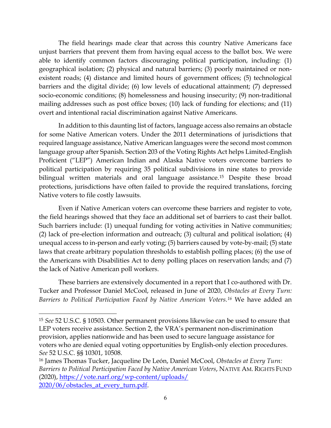The field hearings made clear that across this country Native Americans face unjust barriers that prevent them from having equal access to the ballot box. We were able to identify common factors discouraging political participation, including: (1) geographical isolation; (2) physical and natural barriers; (3) poorly maintained or nonexistent roads; (4) distance and limited hours of government offices; (5) technological barriers and the digital divide; (6) low levels of educational attainment; (7) depressed socio-economic conditions; (8) homelessness and housing insecurity; (9) non-traditional mailing addresses such as post office boxes; (10) lack of funding for elections; and (11) overt and intentional racial discrimination against Native Americans.

In addition to this daunting list of factors, language access also remains an obstacle for some Native American voters. Under the 2011 determinations of jurisdictions that required language assistance, Native American languages were the second most common language group after Spanish. Section 203 of the Voting Rights Act helps Limited-English Proficient ("LEP") American Indian and Alaska Native voters overcome barriers to political participation by requiring 35 political subdivisions in nine states to provide bilingual written materials and oral language assistance.<sup>[15](#page-5-0)</sup> Despite these broad protections, jurisdictions have often failed to provide the required translations, forcing Native voters to file costly lawsuits.

Even if Native American voters can overcome these barriers and register to vote, the field hearings showed that they face an additional set of barriers to cast their ballot. Such barriers include: (1) unequal funding for voting activities in Native communities; (2) lack of pre-election information and outreach; (3) cultural and political isolation; (4) unequal access to in-person and early voting; (5) barriers caused by vote-by-mail; (5) state laws that create arbitrary population thresholds to establish polling places; (6) the use of the Americans with Disabilities Act to deny polling places on reservation lands; and (7) the lack of Native American poll workers.

These barriers are extensively documented in a report that I co-authored with Dr. Tucker and Professor Daniel McCool, released in June of 2020, *Obstacles at Every Turn: Barriers to Political Participation Faced by Native American Voters.[16](#page-5-1)* We have added an

 $\overline{a}$ 

<span id="page-5-0"></span><sup>15</sup> *See* 52 U.S.C. § 10503. Other permanent provisions likewise can be used to ensure that LEP voters receive assistance. Section 2, the VRA's permanent non-discrimination provision, applies nationwide and has been used to secure language assistance for voters who are denied equal voting opportunities by English-only election procedures. *See* 52 U.S.C. §§ 10301, 10508.

<span id="page-5-1"></span><sup>16</sup> James Thomas Tucker, Jacqueline De León, Daniel McCool, *Obstacles at Every Turn: Barriers to Political Participation Faced by Native American Voters*, NATIVE AM. RIGHTS FUND (2020), [https://vote.narf.org/wp-content/uploads/](https://vote.narf.org/wp-content/uploads/%202020/06/obstacles_at_every_turn.pdf)  [2020/06/obstacles\\_at\\_every\\_turn.pdf.](https://vote.narf.org/wp-content/uploads/%202020/06/obstacles_at_every_turn.pdf)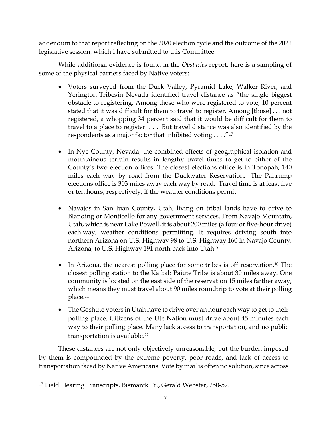addendum to that report reflecting on the 2020 election cycle and the outcome of the 2021 legislative session, which I have submitted to this Committee.

While additional evidence is found in the *Obstacles* report, here is a sampling of some of the physical barriers faced by Native voters:

- Voters surveyed from the Duck Valley, Pyramid Lake, Walker River, and Yerington Tribesin Nevada identified travel distance as "the single biggest obstacle to registering. Among those who were registered to vote, 10 percent stated that it was difficult for them to travel to register. Among [those] . . . not registered, a whopping 34 percent said that it would be difficult for them to travel to a place to register. . . . But travel distance was also identified by the respondents as a major factor that inhibited voting . . . ."[17](#page-6-0)
- In Nye County, Nevada, the combined effects of geographical isolation and mountainous terrain results in lengthy travel times to get to either of the County's two election offices. The closest elections office is in Tonopah, 140 miles each way by road from the Duckwater Reservation. The Pahrump elections office is 303 miles away each way by road. Travel time is at least five or ten hours, respectively, if the weather conditions permit.
- Navajos in San Juan County, Utah, living on tribal lands have to drive to Blanding or Monticello for any government services. From Navajo Mountain, Utah, which is near Lake Powell, it is about 200 miles (a four or five-hour drive) each way, weather conditions permitting. It requires driving south into northern Arizona on U.S. Highway 98 to U.S. Highway 160 in Navajo County, Arizona, to U.S. Highway 191 north back into Utah.5
- In Arizona, the nearest polling place for some tribes is off reservation.<sup>10</sup> The closest polling station to the Kaibab Paiute Tribe is about 30 miles away. One community is located on the east side of the reservation 15 miles farther away, which means they must travel about 90 miles roundtrip to vote at their polling place.11
- The Goshute voters in Utah have to drive over an hour each way to get to their polling place. Citizens of the Ute Nation must drive about 45 minutes each way to their polling place. Many lack access to transportation, and no public transportation is available.22

These distances are not only objectively unreasonable, but the burden imposed by them is compounded by the extreme poverty, poor roads, and lack of access to transportation faced by Native Americans. Vote by mail is often no solution, since across

<span id="page-6-0"></span>l <sup>17</sup> Field Hearing Transcripts, Bismarck Tr., Gerald Webster, 250-52.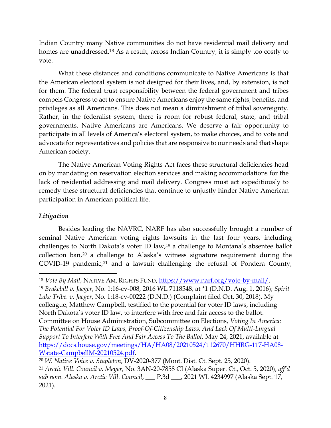Indian Country many Native communities do not have residential mail delivery and homes are unaddressed.<sup>[18](#page-7-0)</sup> As a result, across Indian Country, it is simply too costly to vote.

What these distances and conditions communicate to Native Americans is that the American electoral system is not designed for their lives, and, by extension, is not for them. The federal trust responsibility between the federal government and tribes compels Congress to act to ensure Native Americans enjoy the same rights, benefits, and privileges as all Americans. This does not mean a diminishment of tribal sovereignty. Rather, in the federalist system, there is room for robust federal, state, and tribal governments. Native Americans are Americans. We deserve a fair opportunity to participate in all levels of America's electoral system, to make choices, and to vote and advocate for representatives and policies that are responsive to our needs and that shape American society.

The Native American Voting Rights Act faces these structural deficiencies head on by mandating on reservation election services and making accommodations for the lack of residential addressing and mail delivery. Congress must act expeditiously to remedy these structural deficiencies that continue to unjustly hinder Native American participation in American political life.

## *Litigation*

 $\overline{\phantom{a}}$ 

Besides leading the NAVRC, NARF has also successfully brought a number of seminal Native American voting rights lawsuits in the last four years, including challenges to North Dakota's voter ID law,[19](#page-7-1) a challenge to Montana's absentee ballot collection ban,[20](#page-7-2) a challenge to Alaska's witness signature requirement during the COVID-19 pandemic, $21$  and a lawsuit challenging the refusal of Pondera County,

<span id="page-7-1"></span><span id="page-7-0"></span><sup>18</sup> *Vote By Mail*, NATIVE AM. RIGHTS FUND, [https://www.narf.org/vote-by-mail/.](https://www.narf.org/vote-by-mail/) 19 *Brakebill v. Jaeger*, No. 1:16-cv-008, 2016 WL 7118548, at \*1 (D.N.D. Aug. 1, 2016); *Spirit Lake Tribe. v. Jaeger*, No. 1:18-cv-00222 (D.N.D.) (Complaint filed Oct. 30, 2018). My colleague, Matthew Campbell, testified to the potential for voter ID laws, including North Dakota's voter ID law, to interfere with free and fair access to the ballot. Committee on House Administration, Subcommittee on Elections, *Voting In America: The Potential For Voter ID Laws, Proof-Of-Citizenship Laws, And Lack Of Multi-Lingual Support To Interfere With Free And Fair Access To The Ballot,* May 24, 2021, available at [https://docs.house.gov/meetings/HA/HA08/20210524/112670/HHRG-117-HA08-](https://docs.house.gov/meetings/HA/HA08/20210524/112670/HHRG-117-HA08-Wstate-CampbellM-20210524.pdf) [Wstate-CampbellM-20210524.pdf.](https://docs.house.gov/meetings/HA/HA08/20210524/112670/HHRG-117-HA08-Wstate-CampbellM-20210524.pdf)

<span id="page-7-3"></span><span id="page-7-2"></span><sup>20</sup> *W. Native Voice v. Stapleton*, DV-2020-377 (Mont. Dist. Ct. Sept. 25, 2020). <sup>21</sup> *Arctic Vill. Council v. Meyer*, No. 3AN-20-7858 CI (Alaska Super. Ct., Oct. 5, 2020), *aff'd sub nom. Alaska v. Arctic Vill. Council*, \_\_\_ P.3d \_\_\_, 2021 WL 4234997 (Alaska Sept. 17, 2021).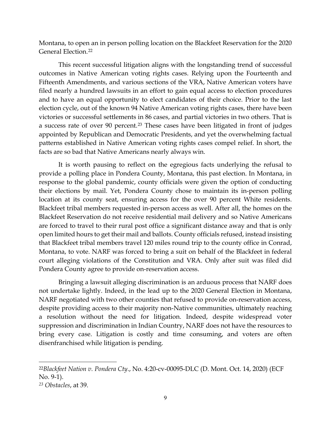Montana, to open an in person polling location on the Blackfeet Reservation for the 2020 General Election.[22](#page-8-0)

This recent successful litigation aligns with the longstanding trend of successful outcomes in Native American voting rights cases. Relying upon the Fourteenth and Fifteenth Amendments, and various sections of the VRA, Native American voters have filed nearly a hundred lawsuits in an effort to gain equal access to election procedures and to have an equal opportunity to elect candidates of their choice. Prior to the last election cycle, out of the known 94 Native American voting rights cases, there have been victories or successful settlements in 86 cases, and partial victories in two others. That is a success rate of over 90 percent.<sup>[23](#page-8-1)</sup> These cases have been litigated in front of judges appointed by Republican and Democratic Presidents, and yet the overwhelming factual patterns established in Native American voting rights cases compel relief. In short, the facts are so bad that Native Americans nearly always win.

It is worth pausing to reflect on the egregious facts underlying the refusal to provide a polling place in Pondera County, Montana, this past election. In Montana, in response to the global pandemic, county officials were given the option of conducting their elections by mail. Yet, Pondera County chose to maintain its in-person polling location at its county seat, ensuring access for the over 90 percent White residents. Blackfeet tribal members requested in-person access as well. After all, the homes on the Blackfeet Reservation do not receive residential mail delivery and so Native Americans are forced to travel to their rural post office a significant distance away and that is only open limited hours to get their mail and ballots. County officials refused, instead insisting that Blackfeet tribal members travel 120 miles round trip to the county office in Conrad, Montana, to vote. NARF was forced to bring a suit on behalf of the Blackfeet in federal court alleging violations of the Constitution and VRA. Only after suit was filed did Pondera County agree to provide on-reservation access.

Bringing a lawsuit alleging discrimination is an arduous process that NARF does not undertake lightly. Indeed, in the lead up to the 2020 General Election in Montana, NARF negotiated with two other counties that refused to provide on-reservation access, despite providing access to their majority non-Native communities, ultimately reaching a resolution without the need for litigation. Indeed, despite widespread voter suppression and discrimination in Indian Country, NARF does not have the resources to bring every case. Litigation is costly and time consuming, and voters are often disenfranchised while litigation is pending.

<span id="page-8-0"></span><sup>22</sup>*Blackfeet Nation v. Pondera Cty*., No. 4:20-cv-00095-DLC (D. Mont. Oct. 14, 2020) (ECF No. 9-1).

<span id="page-8-1"></span>*<sup>23</sup> Obstacles*, at 39.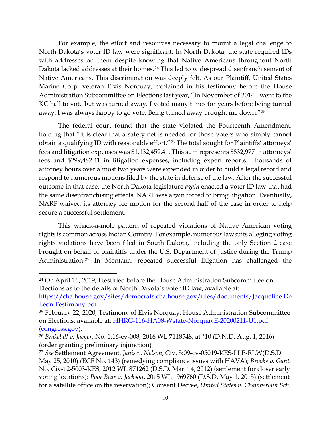For example, the effort and resources necessary to mount a legal challenge to North Dakota's voter ID law were significant. In North Dakota, the state required IDs with addresses on them despite knowing that Native Americans throughout North Dakota lacked addresses at their homes.<sup>[24](#page-9-0)</sup> This led to widespread disenfranchisement of Native Americans. This discrimination was deeply felt. As our Plaintiff, United States Marine Corp. veteran Elvis Norquay, explained in his testimony before the House Administration Subcommittee on Elections last year, "In November of 2014 I went to the KC hall to vote but was turned away. I voted many times for years before being turned away. I was always happy to go vote. Being turned away brought me down."[25](#page-9-1)

The federal court found that the state violated the Fourteenth Amendment, holding that "it is clear that a safety net is needed for those voters who simply cannot obtain a qualifying ID with reasonable effort."[26](#page-9-2) The total sought for Plaintiffs' attorneys' fees and litigation expenses was \$1,132,459.41. This sum represents \$832,977 in attorneys' fees and \$299,482.41 in litigation expenses, including expert reports. Thousands of attorney hours over almost two years were expended in order to build a legal record and respond to numerous motions filed by the state in defense of the law. After the successful outcome in that case, the North Dakota legislature *again* enacted a voter ID law that had the same disenfranchising effects. NARF was again forced to bring litigation. Eventually, NARF waived its attorney fee motion for the second half of the case in order to help secure a successful settlement.

This whack-a-mole pattern of repeated violations of Native American voting rights is common across Indian Country. For example, numerous lawsuits alleging voting rights violations have been filed in South Dakota, including the only Section 2 case brought on behalf of plaintiffs under the U.S. Department of Justice during the Trump Administration.[27](#page-9-3) In Montana, repeated successful litigation has challenged the

l

<span id="page-9-0"></span><sup>24</sup> On April 16, 2019, I testified before the House Administration Subcommittee on Elections as to the details of North Dakota's voter ID law, available at:

[https://cha.house.gov/sites/democrats.cha.house.gov/files/documents/Jacqueline De](https://cha.house.gov/sites/democrats.cha.house.gov/files/documents/Jacqueline%20De%20Leon%20Testimony.pdf)  [Leon Testimony.pdf.](https://cha.house.gov/sites/democrats.cha.house.gov/files/documents/Jacqueline%20De%20Leon%20Testimony.pdf)

<span id="page-9-1"></span><sup>25</sup> February 22, 2020, Testimony of Elvis Norquay, House Administration Subcommittee on Elections, available at: [HHRG-116-HA08-Wstate-NorquayE-20200211-U1.pdf](https://www.congress.gov/116/meeting/house/110464/witnesses/HHRG-116-HA08-Wstate-NorquayE-20200211-U1.pdf)  [\(congress.gov\).](https://www.congress.gov/116/meeting/house/110464/witnesses/HHRG-116-HA08-Wstate-NorquayE-20200211-U1.pdf)

<span id="page-9-2"></span><sup>26</sup> *Brakebill v. Jaeger*, No. 1:16-cv-008, 2016 WL 7118548, at \*10 (D.N.D. Aug. 1, 2016) (order granting preliminary injunction)

<span id="page-9-3"></span><sup>27</sup> *See* Settlement Agreement, *Janis v. Nelson*, Civ. 5:09-cv-05019-KES-LLP-RLW(D.S.D. May 25, 2010) (ECF No. 143) (remedying compliance issues with HAVA); *Brooks v. Gant*, No. Civ-12-5003-KES, 2012 WL 871262 (D.S.D. Mar. 14, 2012) (settlement for closer early voting locations); *Poor Bear v. Jackson*, 2015 WL 1969760 (D.S.D. May 1, 2015) (settlement for a satellite office on the reservation); Consent Decree, *United States v. Chamberlain Sch.*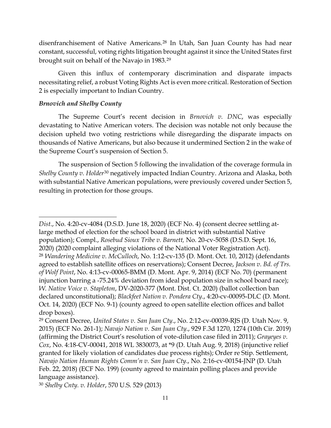disenfranchisement of Native Americans.[28](#page-10-0) In Utah, San Juan County has had near constant, successful, voting rights litigation brought against it since the United States first brought suit on behalf of the Navajo in 1983.[29](#page-10-1)

Given this influx of contemporary discrimination and disparate impacts necessitating relief, a robust Voting Rights Act is even more critical. Restoration of Section 2 is especially important to Indian Country.

## *Brnovich and Shelby County*

 $\overline{a}$ 

The Supreme Court's recent decision in *Brnovich v. DNC*, was especially devastating to Native American voters. The decision was notable not only because the decision upheld two voting restrictions while disregarding the disparate impacts on thousands of Native Americans, but also because it undermined Section 2 in the wake of the Supreme Court's suspension of Section 5.

The suspension of Section 5 following the invalidation of the coverage formula in *Shelby County v. Holder*[30](#page-10-2) negatively impacted Indian Country. Arizona and Alaska, both with substantial Native American populations, were previously covered under Section 5, resulting in protection for those groups.

<span id="page-10-2"></span><sup>30</sup> *Shelby Cnty. v. Holder*, 570 U.S. 529 (2013)

<span id="page-10-0"></span>*Dist*., No. 4:20-cv-4084 (D.S.D. June 18, 2020) (ECF No. 4) (consent decree settling atlarge method of election for the school board in district with substantial Native population); Compl., *Rosebud Sioux Tribe v. Barnett,* No. 20-cv-5058 (D.S.D. Sept. 16, 2020) (2020 complaint alleging violations of the National Voter Registration Act). <sup>28</sup> *Wandering Medicine v. McCulloch*, No. 1:12-cv-135 (D. Mont. Oct. 10, 2012) (defendants agreed to establish satellite offices on reservations); Consent Decree, *Jackson v. Bd. of Trs. of Wolf Point*, No. 4:13-cv-00065-BMM (D. Mont. Apr. 9, 2014) (ECF No. 70) (permanent injunction barring a -75.24% deviation from ideal population size in school board race); *W. Native Voice v. Stapleton*, DV-2020-377 (Mont. Dist. Ct. 2020) (ballot collection ban declared unconstitutional); *Blackfeet Nation v. Pondera Cty*., 4:20-cv-00095-DLC (D. Mont. Oct. 14, 2020) (ECF No. 9-1) (county agreed to open satellite election offices and ballot drop boxes).

<span id="page-10-1"></span><sup>29</sup> Consent Decree, *United States v. San Juan Cty*., No. 2:12-cv-00039-RJS (D. Utah Nov. 9, 2015) (ECF No. 261-1); *Navajo Nation v. San Juan Cty*., 929 F.3d 1270, 1274 (10th Cir. 2019) (affirming the District Court's resolution of vote-dilution case filed in 2011); *Grayeyes v. Cox*, No. 4:18-CV-00041, 2018 WL 3830073, at \*9 (D. Utah Aug. 9, 2018) (injunctive relief granted for likely violation of candidates due process rights); Order re Stip. Settlement, *Navajo Nation Human Rights Comm'n v. San Juan Cty*., No. 2:16-cv-00154-JNP (D. Utah Feb. 22, 2018) (ECF No. 199) (county agreed to maintain polling places and provide language assistance).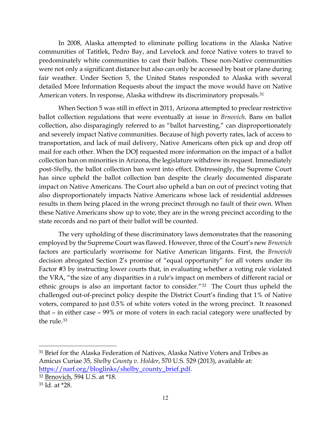In 2008, Alaska attempted to eliminate polling locations in the Alaska Native communities of Tatitlek, Pedro Bay, and Levelock and force Native voters to travel to predominately white communities to cast their ballots. These non-Native communities were not only a significant distance but also can only be accessed by boat or plane during fair weather. Under Section 5, the United States responded to Alaska with several detailed More Information Requests about the impact the move would have on Native American voters. In response, Alaska withdrew its discriminatory proposals.[31](#page-11-0)

When Section 5 was still in effect in 2011, Arizona attempted to preclear restrictive ballot collection regulations that were eventually at issue in *Brnovich*. Bans on ballot collection, also disparagingly referred to as "ballot harvesting," can disproportionately and severely impact Native communities. Because of high poverty rates, lack of access to transportation, and lack of mail delivery, Native Americans often pick up and drop off mail for each other. When the DOJ requested more information on the impact of a ballot collection ban on minorities in Arizona, the legislature withdrew its request. Immediately post-*Shelby*, the ballot collection ban went into effect. Distressingly, the Supreme Court has since upheld the ballot collection ban despite the clearly documented disparate impact on Native Americans. The Court also upheld a ban on out of precinct voting that also disproportionately impacts Native Americans whose lack of residential addresses results in them being placed in the wrong precinct through no fault of their own. When these Native Americans show up to vote, they are in the wrong precinct according to the state records and no part of their ballot will be counted.

The very upholding of these discriminatory laws demonstrates that the reasoning employed by the Supreme Court was flawed. However, three of the Court's new *Brnovich*  factors are particularly worrisome for Native American litigants. First, the *Brnovich* decision abrogated Section 2's promise of "equal opportunity" for all voters under its Factor #3 by instructing lower courts that, in evaluating whether a voting rule violated the VRA, "the size of any disparities in a rule's impact on members of different racial or ethnic groups is also an important factor to consider."[32](#page-11-1) The Court thus upheld the challenged out-of-precinct policy despite the District Court's finding that 1% of Native voters, compared to just 0.5% of white voters voted in the wrong precinct. It reasoned that – in either case – 99% or more of voters in each racial category were unaffected by the rule.<sup>[33](#page-11-2)</sup>

l

<span id="page-11-0"></span><sup>31</sup> Brief for the Alaska Federation of Natives, Alaska Native Voters and Tribes as Amicus Curiae 35, *Shelby County v. Holder*, 570 U.S. 529 (2013), available at: [https://narf.org/bloglinks/shelby\\_county\\_brief.pdf.](https://narf.org/bloglinks/shelby_county_brief.pdf)

<span id="page-11-1"></span><sup>32</sup> Brnovich, 594 U.S. at \*18.

<span id="page-11-2"></span><sup>33</sup> Id. at \*28.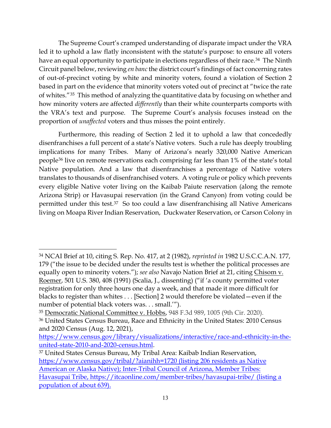The Supreme Court's cramped understanding of disparate impact under the VRA led it to uphold a law flatly inconsistent with the statute's purpose: to ensure all voters have an equal opportunity to participate in elections regardless of their race.<sup>34</sup> The Ninth Circuit panel below, reviewing *en banc* the district court's findings of fact concerning rates of out-of-precinct voting by white and minority voters, found a violation of Section 2 based in part on the evidence that minority voters voted out of precinct at "twice the rate of whites."[35](#page-12-1) This method of analyzing the quantitative data by focusing on whether and how minority voters are affected *differently* than their white counterparts comports with the VRA's text and purpose. The Supreme Court's analysis focuses instead on the proportion of *unaffected* voters and thus misses the point entirely.

Furthermore, this reading of Section 2 led it to uphold a law that concededly disenfranchises a full percent of a state's Native voters. Such a rule has deeply troubling implications for many Tribes. Many of Arizona's nearly 320,000 Native American people[36](#page-12-2) live on remote reservations each comprising far less than 1% of the state's total Native population. And a law that disenfranchises a percentage of Native voters translates to thousands of disenfranchised voters. A voting rule or policy which prevents every eligible Native voter living on the Kaibab Paiute reservation (along the remote Arizona Strip) or Havasupai reservation (in the Grand Canyon) from voting could be permitted under this test.[37](#page-12-3) So too could a law disenfranchising all Native Americans living on Moapa River Indian Reservation, Duckwater Reservation, or Carson Colony in

 $\overline{a}$ 

<span id="page-12-0"></span><sup>34</sup> NCAI Brief at 10, citing S. Rep. No. 417, at 2 (1982), *reprinted in* 1982 U.S.C.C.A.N. 177, 179 ("the issue to be decided under the results test is whether the political processes are equally open to minority voters."); *see also* Navajo Nation Brief at 21, citing Chisom v. Roemer, 501 U.S. 380, 408 (1991) (Scalia, J., dissenting) ("if 'a county permitted voter registration for only three hours one day a week, and that made it more difficult for blacks to register than whites . . . [Section] 2 would therefore be violated—even if the number of potential black voters was. . . small.'").

<span id="page-12-2"></span><span id="page-12-1"></span><sup>35</sup> Democratic National Committee v. Hobbs, 948 F.3d 989, 1005 (9th Cir. 2020). <sup>36</sup> United States Census Bureau, Race and Ethnicity in the United States: 2010 Census and 2020 Census (Aug. 12, 2021),

[https://www.census.gov/library/visualizations/interactive/race-and-ethnicity-in-the](https://www.census.gov/library/visualizations/interactive/race-and-ethnicity-in-the-united-state-2010-and-2020-census.html)[united-state-2010-and-2020-census.html.](https://www.census.gov/library/visualizations/interactive/race-and-ethnicity-in-the-united-state-2010-and-2020-census.html)

<span id="page-12-3"></span><sup>37</sup> United States Census Bureau, My Tribal Area: Kaibab Indian Reservation, <https://www.census.gov/tribal/?aianihh=1720> (listing 206 residents as Native American or Alaska Native); Inter-Tribal Council of Arizona, Member Tribes: Havasupai Tribe,<https://itcaonline.com/member-tribes/havasupai-tribe/> (listing a population of about 639).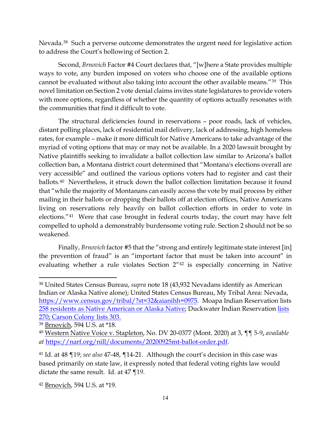Nevada.[38](#page-13-0) Such a perverse outcome demonstrates the urgent need for legislative action to address the Court's hollowing of Section 2.

Second, *Brnovich* Factor #4 Court declares that, "[w]here a State provides multiple ways to vote, any burden imposed on voters who choose one of the available options cannot be evaluated without also taking into account the other available means."[39](#page-13-1) This novel limitation on Section 2 vote denial claims invites state legislatures to provide voters with more options, regardless of whether the quantity of options actually resonates with the communities that find it difficult to vote.

The structural deficiencies found in reservations – poor roads, lack of vehicles, distant polling places, lack of residential mail delivery, lack of addressing, high homeless rates, for example – make it more difficult for Native Americans to take advantage of the myriad of voting options that may or may not be available. In a 2020 lawsuit brought by Native plaintiffs seeking to invalidate a ballot collection law similar to Arizona's ballot collection ban, a Montana district court determined that "Montana's elections overall are very accessible" and outlined the various options voters had to register and cast their ballots.[40](#page-13-2) Nevertheless, it struck down the ballot collection limitation because it found that "while the majority of Montanans can easily access the vote by mail process by either mailing in their ballots or dropping their ballots off at election offices, Native Americans living on reservations rely heavily on ballot collection efforts in order to vote in elections."[41](#page-13-3) Were that case brought in federal courts today, the court may have felt compelled to uphold a demonstrably burdensome voting rule. Section 2 should not be so weakened.

Finally, *Brnovich* factor #5 that the "strong and entirely legitimate state interest [in] the prevention of fraud" is an "important factor that must be taken into account" in evaluating whether a rule violates Section 2"[42](#page-13-4) is especially concerning in Native

<span id="page-13-0"></span><sup>38</sup> United States Census Bureau, *supra* note 18 (43,932 Nevadans identify as American Indian or Alaska Native alone); United States Census Bureau, My Tribal Area: Nevada, [https://www.census.gov/tribal/?st=32&aianihh=0975.](https://www.census.gov/tribal/?st=32&aianihh=0975) Moapa Indian Reservation lists 258 residents as Native American or Alaska Native; Duckwater Indian Reservation lists 270; Carson Colony lists 303.

<span id="page-13-1"></span><sup>39</sup> Brnovich, 594 U.S. at \*18.

<span id="page-13-2"></span><sup>40</sup> Western Native Voice v. Stapleton, No. DV 20-0377 (Mont. 2020) at 3, ¶¶ 5-9**,** *available at* [https://narf.org/nill/documents/20200925mt-ballot-order.pdf.](https://narf.org/nill/documents/20200925mt-ballot-order.pdf)

<span id="page-13-3"></span><sup>41</sup> Id. at 48 ¶19; *see also* 47-48, ¶14-21. Although the court's decision in this case was based primarily on state law, it expressly noted that federal voting rights law would dictate the same result. Id. at 47 ¶19.

<span id="page-13-4"></span><sup>42</sup> Brnovich, 594 U.S. at \*19.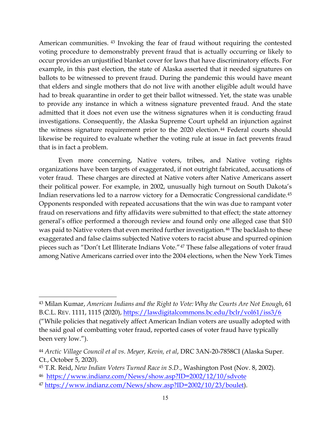American communities. [43](#page-14-0) Invoking the fear of fraud without requiring the contested voting procedure to demonstrably prevent fraud that is actually occurring or likely to occur provides an unjustified blanket cover for laws that have discriminatory effects. For example, in this past election, the state of Alaska asserted that it needed signatures on ballots to be witnessed to prevent fraud. During the pandemic this would have meant that elders and single mothers that do not live with another eligible adult would have had to break quarantine in order to get their ballot witnessed. Yet, the state was unable to provide any instance in which a witness signature prevented fraud. And the state admitted that it does not even use the witness signatures when it is conducting fraud investigations. Consequently, the Alaska Supreme Court upheld an injunction against the witness signature requirement prior to the 2020 election.<sup>[44](#page-14-1)</sup> Federal courts should likewise be required to evaluate whether the voting rule at issue in fact prevents fraud that is in fact a problem.

Even more concerning, Native voters, tribes, and Native voting rights organizations have been targets of exaggerated, if not outright fabricated, accusations of voter fraud. These charges are directed at Native voters after Native Americans assert their political power. For example, in 2002, unusually high turnout on South Dakota's Indian reservations led to a narrow victory for a Democratic Congressional candidate.[45](#page-14-2) Opponents responded with repeated accusations that the win was due to rampant voter fraud on reservations and fifty affidavits were submitted to that effect; the state attorney general's office performed a thorough review and found only one alleged case that \$10 was paid to Native voters that even merited further investigation.<sup>[46](#page-14-3)</sup> The backlash to these exaggerated and false claims subjected Native voters to racist abuse and spurred opinion pieces such as "Don't Let Illiterate Indians Vote."[47](#page-14-4) These false allegations of voter fraud among Native Americans carried over into the 2004 elections, when the New York Times

 $\overline{a}$ 

<span id="page-14-0"></span><sup>43</sup> Milan Kumar, *American Indians and the Right to Vote: Why the Courts Are Not Enough*, 61 B.C.L. REV. 1111, 1115 (2020),<https://lawdigitalcommons.bc.edu/bclr/vol61/iss3/6>

<sup>(&</sup>quot;While policies that negatively affect American Indian voters are usually adopted with the said goal of combatting voter fraud, reported cases of voter fraud have typically been very low.").

<span id="page-14-1"></span><sup>44</sup> *Arctic Village Council et al vs. Meyer, Kevin, et al*, DRC 3AN-20-7858CI (Alaska Super. Ct., October 5, 2020).

<span id="page-14-2"></span><sup>45</sup> T.R. Reid, *New Indian Voters Turned Race in S.D.*, Washington Post (Nov. 8, 2002).

<span id="page-14-3"></span><sup>46</sup> <https://www.indianz.com/News/show.asp?ID=2002/12/10/sdvote>

<span id="page-14-4"></span><sup>47</sup> [https://www.indianz.com/News/show.asp?ID=2002/10/23/boulet\)](https://www.indianz.com/News/show.asp?ID=2002/10/23/boulet).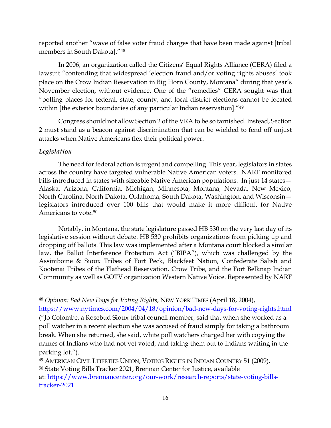reported another "wave of false voter fraud charges that have been made against [tribal members in South Dakota]."[48](#page-15-0)

In 2006, an organization called the Citizens' Equal Rights Alliance (CERA) filed a lawsuit "contending that widespread 'election fraud and/or voting rights abuses' took place on the Crow Indian Reservation in Big Horn County, Montana" during that year's November election, without evidence. One of the "remedies" CERA sought was that "polling places for federal, state, county, and local district elections cannot be located within [the exterior boundaries of any particular Indian reservation]."[49](#page-15-1)

Congress should not allow Section 2 of the VRA to be so tarnished. Instead, Section 2 must stand as a beacon against discrimination that can be wielded to fend off unjust attacks when Native Americans flex their political power.

## *Legislation*

 $\overline{\phantom{a}}$ 

The need for federal action is urgent and compelling. This year, legislators in states across the country have targeted vulnerable Native American voters. NARF monitored bills introduced in states with sizeable Native American populations. In just 14 states— Alaska, Arizona, California, Michigan, Minnesota, Montana, Nevada, New Mexico, North Carolina, North Dakota, Oklahoma, South Dakota, Washington, and Wisconsin legislators introduced over 100 bills that would make it more difficult for Native Americans to vote.<sup>[50](#page-15-2)</sup>

Notably, in Montana, the state legislature passed HB 530 on the very last day of its legislative session without debate. HB 530 prohibits organizations from picking up and dropping off ballots. This law was implemented after a Montana court blocked a similar law, the Ballot Interference Protection Act ("BIPA"), which was challenged by the Assiniboine & Sioux Tribes of Fort Peck, Blackfeet Nation, Confederate Salish and Kootenai Tribes of the Flathead Reservation, Crow Tribe, and the Fort Belknap Indian Community as well as GOTV organization Western Native Voice. Represented by NARF

<span id="page-15-0"></span><sup>48</sup> *Opinion: Bad New Days for Voting Rights*, NEW YORK TIMES (April 18, 2004),

<https://www.nytimes.com/2004/04/18/opinion/bad-new-days-for-voting-rights.html> ("Jo Colombe, a Rosebud Sioux tribal council member, said that when she worked as a poll watcher in a recent election she was accused of fraud simply for taking a bathroom break. When she returned, she said, white poll watchers charged her with copying the names of Indians who had not yet voted, and taking them out to Indians waiting in the parking lot.").

<span id="page-15-2"></span><span id="page-15-1"></span><sup>49</sup> AMERICAN CIVIL LIBERTIES UNION, VOTING RIGHTS IN INDIAN COUNTRY 51 (2009). <sup>50</sup> State Voting Bills Tracker 2021, Brennan Center for Justice, available at: [https://www.brennancenter.org/our-work/research-reports/state-voting-bills](https://www.brennancenter.org/our-work/research-reports/state-voting-bills-tracker-2021)[tracker-2021.](https://www.brennancenter.org/our-work/research-reports/state-voting-bills-tracker-2021)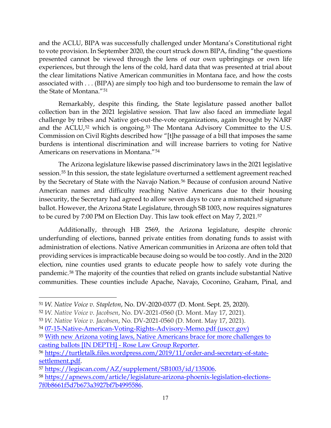and the ACLU, BIPA was successfully challenged under Montana's Constitutional right to vote provision. In September 2020, the court struck down BIPA, finding "the questions presented cannot be viewed through the lens of our own upbringings or own life experiences, but through the lens of the cold, hard data that was presented at trial about the clear limitations Native American communities in Montana face, and how the costs associated with . . . (BIPA) are simply too high and too burdensome to remain the law of the State of Montana."[51](#page-16-0)

Remarkably, despite this finding, the State legislature passed another ballot collection ban in the 2021 legislative session. That law also faced an immediate legal challenge by tribes and Native get-out-the-vote organizations, again brought by NARF and the ACLU,<sup>[52](#page-16-1)</sup> which is ongoing.<sup>[53](#page-16-2)</sup> The Montana Advisory Committee to the U.S. Commission on Civil Rights described how "[t]he passage of a bill that imposes the same burdens is intentional discrimination and will increase barriers to voting for Native Americans on reservations in Montana."[54](#page-16-3)

The Arizona legislature likewise passed discriminatory laws in the 2021 legislative session.[55](#page-16-4) In this session, the state legislature overturned a settlement agreement reached by the Secretary of State with the Navajo Nation.<sup>[56](#page-16-5)</sup> Because of confusion around Native American names and difficulty reaching Native Americans due to their housing insecurity, the Secretary had agreed to allow seven days to cure a mismatched signature ballot. However, the Arizona State Legislature, through SB 1003, now requires signatures to be cured by 7:00 PM on Election Day. This law took effect on May 7, 2021.[57](#page-16-6)

Additionally, through HB 2569, the Arizona legislature, despite chronic underfunding of elections, banned private entities from donating funds to assist with administration of elections. Native American communities in Arizona are often told that providing services is impracticable because doing so would be too costly. And in the 2020 election, nine counties used grants to educate people how to safely vote during the pandemic.[58](#page-16-7) The majority of the counties that relied on grants include substantial Native communities. These counties include Apache, Navajo, Coconino, Graham, Pinal, and

<span id="page-16-0"></span><sup>51</sup> *W. Native Voice v. Stapleton*, No. DV-2020-0377 (D. Mont. Sept. 25, 2020).

<span id="page-16-1"></span><sup>52</sup> *W. Native Voice v. Jacobsen*, No. DV-2021-0560 (D. Mont. May 17, 2021).

<span id="page-16-2"></span><sup>53</sup> *W. Native Voice v. Jacobsen*, No. DV-2021-0560 (D. Mont. May 17, 2021).

<span id="page-16-3"></span><sup>54</sup> [07-15-Native-American-Voting-Rights-Advisory-Memo.pdf \(usccr.gov\)](https://www.usccr.gov/files/2021/07-15-Native-American-Voting-Rights-Advisory-Memo.pdf)

<span id="page-16-4"></span><sup>55</sup> [With new Arizona voting laws, Native Americans brace for more challenges to](https://roselawgroupreporter.com/2021/06/with-new-arizona-voting-laws-native-americans-brace-for-more-challenges-to-casting-ballots-in-depth/)  [casting ballots \[IN DEPTH\] -](https://roselawgroupreporter.com/2021/06/with-new-arizona-voting-laws-native-americans-brace-for-more-challenges-to-casting-ballots-in-depth/) Rose Law Group Reporter.

<span id="page-16-5"></span><sup>56</sup> [https://turtletalk.files.wordpress.com/2019/11/order-and-secretary-of-state-](https://turtletalk.files.wordpress.com/2019/11/order-and-secretary-of-state-settlement.pdf)

<span id="page-16-7"></span>

<span id="page-16-6"></span>[settlement.pdf.](https://turtletalk.files.wordpress.com/2019/11/order-and-secretary-of-state-settlement.pdf)<br><sup>57</sup> [https://legiscan.com/AZ/supplement/SB1003/id/135006.](https://legiscan.com/AZ/supplement/SB1003/id/135006)<br><sup>58</sup> [https://apnews.com/article/legislature-arizona-phoenix-legislation-elections-](https://apnews.com/article/legislature-arizona-phoenix-legislation-elections-7f0b8661f5d7b673a3927bf7b4995586)[7f0b8661f5d7b673a3927bf7b4995586.](https://apnews.com/article/legislature-arizona-phoenix-legislation-elections-7f0b8661f5d7b673a3927bf7b4995586)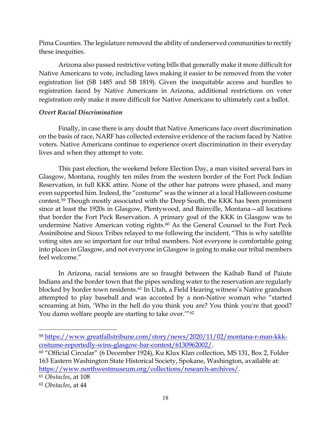Pima Counties. The legislature removed the ability of underserved communities to rectify these inequities.

Arizona also passed restrictive voting bills that generally make it more difficult for Native Americans to vote, including laws making it easier to be removed from the voter registration list (SB 1485 and SB 1819). Given the inequitable access and hurdles to registration faced by Native Americans in Arizona, additional restrictions on voter registration only make it more difficult for Native Americans to ultimately cast a ballot.

## *Overt Racial Discrimination*

Finally, in case there is any doubt that Native Americans face overt discrimination on the basis of race, NARF has collected extensive evidence of the racism faced by Native voters. Native Americans continue to experience overt discrimination in their everyday lives and when they attempt to vote.

This past election, the weekend before Election Day, a man visited several bars in Glasgow, Montana, roughly ten miles from the western border of the Fort Peck Indian Reservation, in full KKK attire. None of the other bar patrons were phased, and many even supported him. Indeed, the "costume" was the winner at a local Halloween costume contest.[59](#page-17-0) Though mostly associated with the Deep South, the KKK has been prominent since at least the 1920s in Glasgow, Plentywood, and Bainville, Montana—all locations that border the Fort Peck Reservation. A primary goal of the KKK in Glasgow was to undermine Native American voting rights.<sup>[60](#page-17-1)</sup> As the General Counsel to the Fort Peck Assiniboine and Sioux Tribes relayed to me following the incident, "This is why satellite voting sites are so important for our tribal members. Not everyone is comfortable going into places in Glasgow, and not everyone in Glasgow is going to make our tribal members feel welcome."

In Arizona, racial tensions are so fraught between the Kaibab Band of Paiute Indians and the border town that the pipes sending water to the reservation are regularly blocked by border town residents.[61](#page-17-2) In Utah, a Field Hearing witness's Native grandson attempted to play baseball and was accosted by a non-Native woman who "started screaming at him, 'Who in the hell do you think you are? You think you're that good? You damn welfare people are starting to take over."<sup>[62](#page-17-3)</sup>

<span id="page-17-2"></span><sup>61</sup> *Obstacles*, at 108

<span id="page-17-0"></span><sup>59</sup> [https://www.greatfallstribune.com/story/news/2020/11/02/montana-r-man-kkk](https://www.greatfallstribune.com/story/news/2020/11/02/montana-r-man-kkk-costume-reportedly-wins-glasgow-bar-contest/6130962002/)[costume-reportedly-wins-glasgow-bar-contest/6130962002/.](https://www.greatfallstribune.com/story/news/2020/11/02/montana-r-man-kkk-costume-reportedly-wins-glasgow-bar-contest/6130962002/)

<span id="page-17-1"></span><sup>60</sup> "Official Circular" (6 December 1924), Ku Klux Klan collection, MS 131, Box 2, Folder 163 Eastern Washington State Historical Society, Spokane, Washington, available at: [https://www.northwestmuseum.org/collections/research-archives/.](https://nam11.safelinks.protection.outlook.com/?url=https%3A%2F%2Fwww.northwestmuseum.org%2Fcollections%2Fresearch-archives%2F&data=04%7C01%7CJDeLeon%40narf.org%7Cd7d74a93dbc841f51ef408d8f9ffb799%7C212bbdf0523141bea87b3585b8d6c66e%7C1%7C0%7C637534223976981577%7CUnknown%7CTWFpbGZsb3d8eyJWIjoiMC4wLjAwMDAiLCJQIjoiV2luMzIiLCJBTiI6Ik1haWwiLCJXVCI6Mn0%3D%7C1000&sdata=lsO%2F3Cs3ZOyVG%2FHeCecs%2Bfe6CETtMuJ%2FFWosbZl0x5I%3D&reserved=0)

<span id="page-17-3"></span><sup>62</sup> *Obstacles*, at 44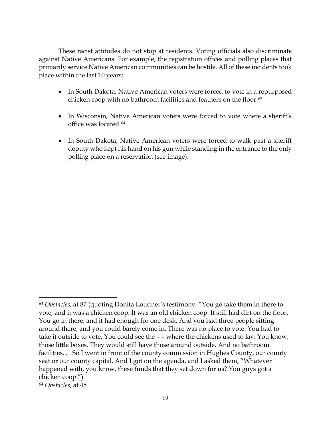These racist attitudes do not stop at residents. Voting officials also discriminate against Native Americans. For example, the registration offices and polling places that primarily service Native American communities can be hostile. All of these incidents took place within the last 10 years:

- In South Dakota, Native American voters were forced to vote in a repurposed chicken coop with no bathroom facilities and feathers on the floor.[63](#page-18-0)
- In Wisconsin, Native American voters were forced to vote where a sheriff's office was located.[64](#page-18-1)
- In South Dakota, Native American voters were forced to walk past a sheriff deputy who kept his hand on his gun while standing in the entrance to the only polling place on a reservation (see image).

<span id="page-18-0"></span><sup>63</sup> *Obstacles*, at 87 (quoting Donita Loudner's testimony, "You go take them in there to vote, and it was a chicken coop. It was an old chicken coop. It still had dirt on the floor. You go in there, and it had enough for one desk. And you had three people sitting around there, and you could barely come in. There was no place to vote. You had to take it outside to vote. You could see the – – where the chickens used to lay: You know, those little boxes. They would still have those around outside. And no bathroom facilities. . . So I went in front of the county commission in Hughes County, our county seat or our county capital. And I got on the agenda, and I asked them, "Whatever happened with, you know, these funds that they set down for us? You guys got a chicken coop.")

<span id="page-18-1"></span><sup>64</sup> *Obstacles*, at 45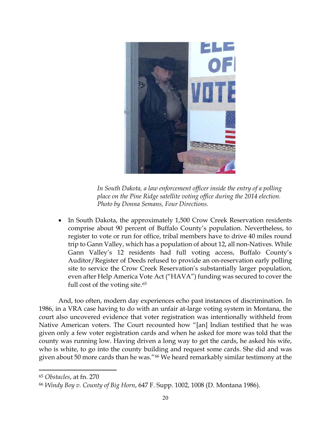

*In South Dakota, a law enforcement officer inside the entry of a polling place on the Pine Ridge satellite voting office during the 2014 election. Photo by Donna Semans, Four Directions.*

• In South Dakota, the approximately 1,500 Crow Creek Reservation residents comprise about 90 percent of Buffalo County's population. Nevertheless, to register to vote or run for office, tribal members have to drive 40 miles round trip to Gann Valley, which has a population of about 12, all non-Natives. While Gann Valley's 12 residents had full voting access, Buffalo County's Auditor/Register of Deeds refused to provide an on-reservation early polling site to service the Crow Creek Reservation's substantially larger population, even after Help America Vote Act ("HAVA") funding was secured to cover the full cost of the voting site.<sup>[65](#page-19-0)</sup>

And, too often, modern day experiences echo past instances of discrimination. In 1986, in a VRA case having to do with an unfair at-large voting system in Montana, the court also uncovered evidence that voter registration was intentionally withheld from Native American voters. The Court recounted how "[an] Indian testified that he was given only a few voter registration cards and when he asked for more was told that the county was running low. Having driven a long way to get the cards, he asked his wife, who is white, to go into the county building and request some cards. She did and was given about 50 more cards than he was."[66](#page-19-1) We heard remarkably similar testimony at the

<span id="page-19-0"></span><sup>65</sup> *Obstacles*, at fn. 270

<span id="page-19-1"></span><sup>66</sup> *Windy Boy v. County of Big Horn*, 647 F. Supp. 1002, 1008 (D. Montana 1986).